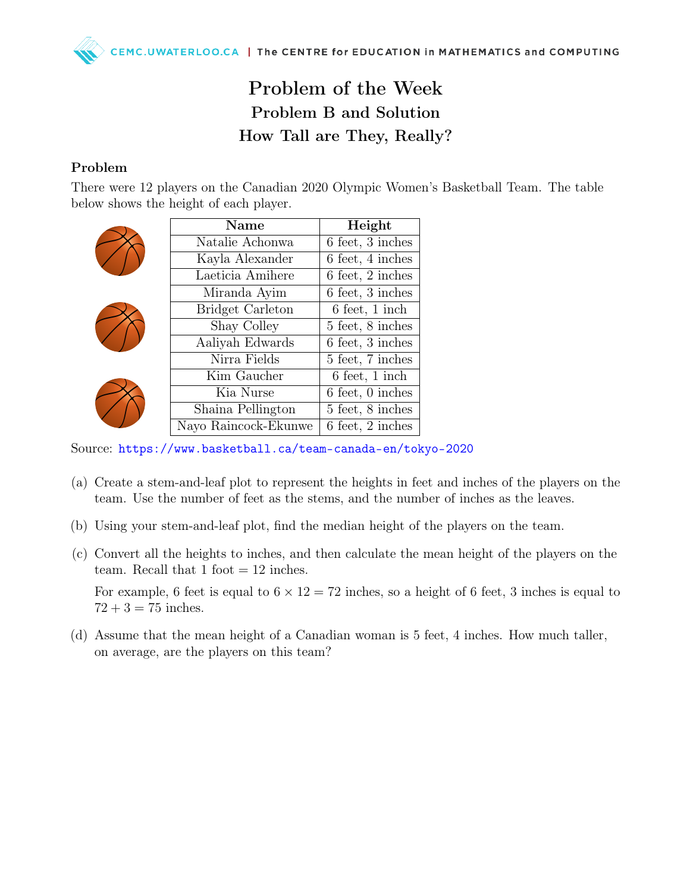## Problem of the Week Problem B and Solution How Tall are They, Really?

## Problem

There were 12 players on the Canadian 2020 Olympic Women's Basketball Team. The table below shows the height of each player.

|  | Name                    | Height                             |
|--|-------------------------|------------------------------------|
|  | Natalie Achonwa         | 6 feet, 3 inches                   |
|  | Kayla Alexander         | 6 feet, 4 inches                   |
|  | Laeticia Amihere        | $6 \text{ feet}, 2 \text{ inches}$ |
|  | Miranda Ayim            | 6 feet, 3 inches                   |
|  | <b>Bridget Carleton</b> | $6 \text{ feet}, 1 \text{ inch}$   |
|  | Shay Colley             | 5 feet, 8 inches                   |
|  | Aaliyah Edwards         | 6 feet, 3 inches                   |
|  | Nirra Fields            | 5 feet, 7 inches                   |
|  | Kim Gaucher             | $6 \text{ feet}, 1 \text{ inch}$   |
|  | Kia Nurse               | $6 \text{ feet}, 0 \text{ inches}$ |
|  | Shaina Pellington       | 5 feet, 8 inches                   |
|  | Nayo Raincock-Ekunwe    | 6 feet, 2 inches                   |

Source: <https://www.basketball.ca/team-canada-en/tokyo-2020>

- (a) Create a stem-and-leaf plot to represent the heights in feet and inches of the players on the team. Use the number of feet as the stems, and the number of inches as the leaves.
- (b) Using your stem-and-leaf plot, find the median height of the players on the team.
- (c) Convert all the heights to inches, and then calculate the mean height of the players on the team. Recall that 1 foot  $= 12$  inches.

For example, 6 feet is equal to  $6 \times 12 = 72$  inches, so a height of 6 feet, 3 inches is equal to  $72 + 3 = 75$  inches.

(d) Assume that the mean height of a Canadian woman is 5 feet, 4 inches. How much taller, on average, are the players on this team?